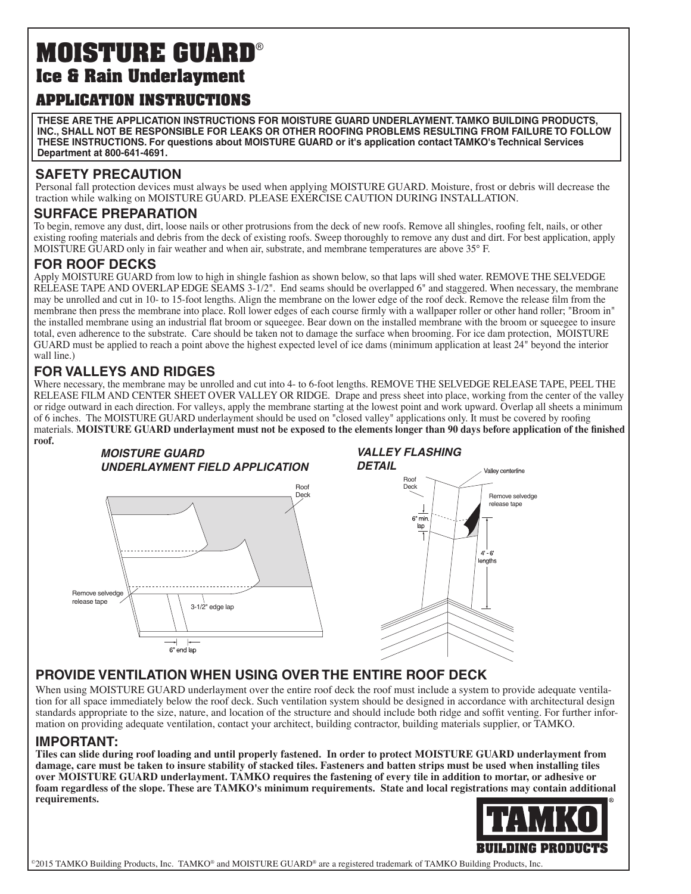# **MOISTURE GUARD**® **Ice & Rain Underlayment**

## **APPLICATION INSTRUCTIONS**

**THESE ARE THE APPLICATION INSTRUCTIONS FOR MOISTURE GUARD UNDERLAYMENT. TAMKO BUILDING PRODUCTS, INC., SHALL NOT BE RESPONSIBLE FOR LEAKS OR OTHER ROOFING PROBLEMS RESULTING FROM FAILURE TO FOLLOW THESE INSTRUCTIONS. For questions about MOISTURE GUARD or it's application contact TAMKO's Technical Services Department at 800-641-4691.**

### **SAFETY PRECAUTION**

Personal fall protection devices must always be used when applying MOISTURE GUARD. Moisture, frost or debris will decrease the traction while walking on MOISTURE GUARD. PLEASE EXERCISE CAUTION DURING INSTALLATION.

#### **SURFACE PREPARATION**

To begin, remove any dust, dirt, loose nails or other protrusions from the deck of new roofs. Remove all shingles, roofing felt, nails, or other existing roofing materials and debris from the deck of existing roofs. Sweep thoroughly to remove any dust and dirt. For best application, apply MOISTURE GUARD only in fair weather and when air, substrate, and membrane temperatures are above 35° F.

### **FOR ROOF DECKS**

Apply MOISTURE GUARD from low to high in shingle fashion as shown below, so that laps will shed water. REMOVE THE SELVEDGE RELEASE TAPE AND OVERLAP EDGE SEAMS 3-1/2". End seams should be overlapped 6" and staggered. When necessary, the membrane may be unrolled and cut in 10- to 15-foot lengths. Align the membrane on the lower edge of the roof deck. Remove the release film from the membrane then press the membrane into place. Roll lower edges of each course firmly with a wallpaper roller or other hand roller; "Broom in" the installed membrane using an industrial flat broom or squeegee. Bear down on the installed membrane with the broom or squeegee to insure total, even adherence to the substrate. Care should be taken not to damage the surface when brooming. For ice dam protection, MOISTURE GUARD must be applied to reach a point above the highest expected level of ice dams (minimum application at least 24" beyond the interior wall line.)

#### **FOR VALLEYS AND RIDGES**

Where necessary, the membrane may be unrolled and cut into 4- to 6-foot lengths. REMOVE THE SELVEDGE RELEASE TAPE, PEEL THE RELEASE FILM AND CENTER SHEET OVER VALLEY OR RIDGE. Drape and press sheet into place, working from the center of the valley or ridge outward in each direction. For valleys, apply the membrane starting at the lowest point and work upward. Overlap all sheets a minimum of 6 inches. The MOISTURE GUARD underlayment should be used on "closed valley" applications only. It must be covered by roofing materials. **MOISTURE GUARD underlayment must not be exposed to the elements longer than 90 days before application of the finished roof.**



### **PROVIDE VENTILATION WHEN USING OVER THE ENTIRE ROOF DECK**

When using MOISTURE GUARD underlayment over the entire roof deck the roof must include a system to provide adequate ventilation for all space immediately below the roof deck. Such ventilation system should be designed in accordance with architectural design standards appropriate to the size, nature, and location of the structure and should include both ridge and soffit venting. For further information on providing adequate ventilation, contact your architect, building contractor, building materials supplier, or TAMKO.

#### **IMPORTANT:**

**Tiles can slide during roof loading and until properly fastened. In order to protect MOISTURE GUARD underlayment from damage, care must be taken to insure stability of stacked tiles. Fasteners and batten strips must be used when installing tiles over MOISTURE GUARD underlayment. TAMKO requires the fastening of every tile in addition to mortar, or adhesive or foam regardless of the slope. These are TAMKO's minimum requirements. State and local registrations may contain additional requirements.**